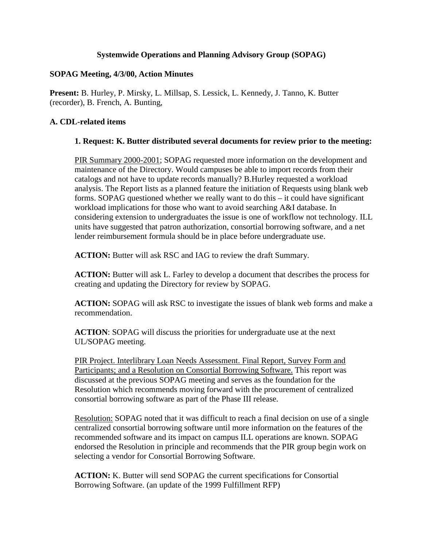### **Systemwide Operations and Planning Advisory Group (SOPAG)**

#### **SOPAG Meeting, 4/3/00, Action Minutes**

**Present:** B. Hurley, P. Mirsky, L. Millsap, S. Lessick, L. Kennedy, J. Tanno, K. Butter (recorder), B. French, A. Bunting,

### **A. CDL-related items**

#### **1. Request: K. Butter distributed several documents for review prior to the meeting:**

PIR Summary 2000-2001; SOPAG requested more information on the development and maintenance of the Directory. Would campuses be able to import records from their catalogs and not have to update records manually? B.Hurley requested a workload analysis. The Report lists as a planned feature the initiation of Requests using blank web forms. SOPAG questioned whether we really want to do this – it could have significant workload implications for those who want to avoid searching A&I database. In considering extension to undergraduates the issue is one of workflow not technology. ILL units have suggested that patron authorization, consortial borrowing software, and a net lender reimbursement formula should be in place before undergraduate use.

**ACTION:** Butter will ask RSC and IAG to review the draft Summary.

**ACTION:** Butter will ask L. Farley to develop a document that describes the process for creating and updating the Directory for review by SOPAG.

**ACTION:** SOPAG will ask RSC to investigate the issues of blank web forms and make a recommendation.

**ACTION**: SOPAG will discuss the priorities for undergraduate use at the next UL/SOPAG meeting.

PIR Project. Interlibrary Loan Needs Assessment. Final Report, Survey Form and Participants; and a Resolution on Consortial Borrowing Software. This report was discussed at the previous SOPAG meeting and serves as the foundation for the Resolution which recommends moving forward with the procurement of centralized consortial borrowing software as part of the Phase III release.

Resolution: SOPAG noted that it was difficult to reach a final decision on use of a single centralized consortial borrowing software until more information on the features of the recommended software and its impact on campus ILL operations are known. SOPAG endorsed the Resolution in principle and recommends that the PIR group begin work on selecting a vendor for Consortial Borrowing Software.

**ACTION:** K. Butter will send SOPAG the current specifications for Consortial Borrowing Software. (an update of the 1999 Fulfillment RFP)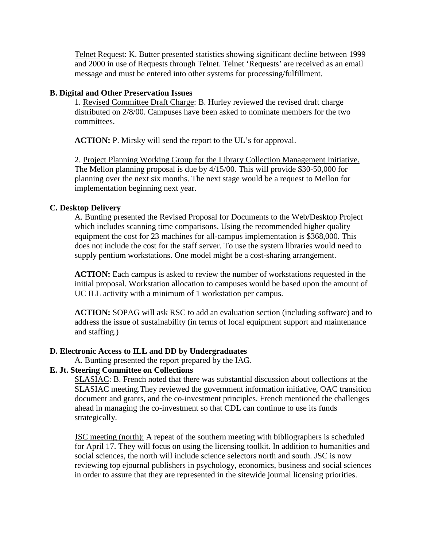Telnet Request: K. Butter presented statistics showing significant decline between 1999 and 2000 in use of Requests through Telnet. Telnet 'Requests' are received as an email message and must be entered into other systems for processing/fulfillment.

### **B. Digital and Other Preservation Issues**

1. Revised Committee Draft Charge: B. Hurley reviewed the revised draft charge distributed on 2/8/00. Campuses have been asked to nominate members for the two committees.

**ACTION:** P. Mirsky will send the report to the UL's for approval.

2. Project Planning Working Group for the Library Collection Management Initiative. The Mellon planning proposal is due by 4/15/00. This will provide \$30-50,000 for planning over the next six months. The next stage would be a request to Mellon for implementation beginning next year.

### **C. Desktop Delivery**

A. Bunting presented the Revised Proposal for Documents to the Web/Desktop Project which includes scanning time comparisons. Using the recommended higher quality equipment the cost for 23 machines for all-campus implementation is \$368,000. This does not include the cost for the staff server. To use the system libraries would need to supply pentium workstations. One model might be a cost-sharing arrangement.

**ACTION:** Each campus is asked to review the number of workstations requested in the initial proposal. Workstation allocation to campuses would be based upon the amount of UC ILL activity with a minimum of 1 workstation per campus.

**ACTION:** SOPAG will ask RSC to add an evaluation section (including software) and to address the issue of sustainability (in terms of local equipment support and maintenance and staffing.)

# **D. Electronic Access to ILL and DD by Undergraduates**

A. Bunting presented the report prepared by the IAG.

# **E. Jt. Steering Committee on Collections**

SLASIAC: B. French noted that there was substantial discussion about collections at the SLASIAC meeting.They reviewed the government information initiative, OAC transition document and grants, and the co-investment principles. French mentioned the challenges ahead in managing the co-investment so that CDL can continue to use its funds strategically.

JSC meeting (north): A repeat of the southern meeting with bibliographers is scheduled for April 17. They will focus on using the licensing toolkit. In addition to humanities and social sciences, the north will include science selectors north and south. JSC is now reviewing top ejournal publishers in psychology, economics, business and social sciences in order to assure that they are represented in the sitewide journal licensing priorities.